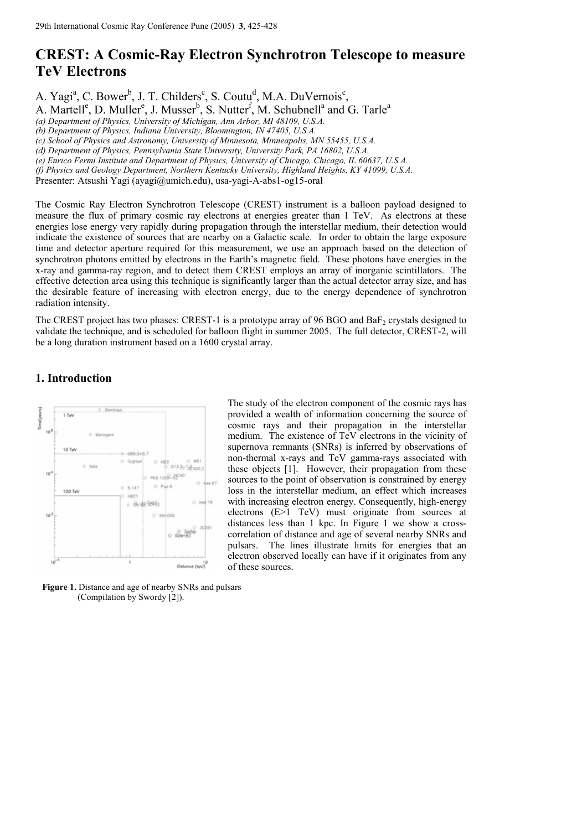# **CREST: A Cosmic-Ray Electron Synchrotron Telescope to measure TeV Electrons**

A. Yagi<sup>a</sup>, C. Bower<sup>b</sup>, J. T. Childers<sup>c</sup>, S. Coutu<sup>d</sup>, M.A. DuVernois<sup>c</sup>,

A. Martell<sup>e</sup>, D. Muller<sup>e</sup>, J. Musser<sup>b</sup>, S. Nutter<sup>f</sup>, M. Schubnell<sup>a</sup> and G. Tarle<sup>a</sup>

*(a) Department of Physics, University of Michigan, Ann Arbor, MI 48109, U.S.A.* 

*(b) Department of Physics, Indiana University, Bloomington, IN 47405, U.S.A.* 

*(c) School of Physics and Astronomy, University of Minnesota, Minneapolis, MN 55455, U.S.A.* 

*(d) Department of Physics, Pennsylvania State University, University Park, PA 16802, U.S.A.* 

*(e) Enrico Fermi Institute and Department of Physics, University of Chicago, Chicago, IL 60637, U.S.A.* 

*(f) Physics and Geology Department, Northern Kentucky University, Highland Heights, KY 41099, U.S.A.* 

Presenter: Atsushi Yagi (ayagi@umich.edu), usa-yagi-A-abs1-og15-oral

The Cosmic Ray Electron Synchrotron Telescope (CREST) instrument is a balloon payload designed to measure the flux of primary cosmic ray electrons at energies greater than 1 TeV. As electrons at these energies lose energy very rapidly during propagation through the interstellar medium, their detection would indicate the existence of sources that are nearby on a Galactic scale. In order to obtain the large exposure time and detector aperture required for this measurement, we use an approach based on the detection of synchrotron photons emitted by electrons in the Earth's magnetic field. These photons have energies in the x-ray and gamma-ray region, and to detect them CREST employs an array of inorganic scintillators. The effective detection area using this technique is significantly larger than the actual detector array size, and has the desirable feature of increasing with electron energy, due to the energy dependence of synchrotron radiation intensity.

The CREST project has two phases: CREST-1 is a prototype array of 96 BGO and BaF<sub>2</sub> crystals designed to validate the technique, and is scheduled for balloon flight in summer 2005. The full detector, CREST-2, will be a long duration instrument based on a 1600 crystal array.

### **1. Introduction**



The study of the electron component of the cosmic rays has provided a wealth of information concerning the source of cosmic rays and their propagation in the interstellar medium. The existence of TeV electrons in the vicinity of supernova remnants (SNRs) is inferred by observations of non-thermal x-rays and TeV gamma-rays associated with these objects [1]. However, their propagation from these sources to the point of observation is constrained by energy loss in the interstellar medium, an effect which increases with increasing electron energy. Consequently, high-energy electrons (E>1 TeV) must originate from sources at distances less than 1 kpc. In Figure 1 we show a crosscorrelation of distance and age of several nearby SNRs and pulsars. The lines illustrate limits for energies that an electron observed locally can have if it originates from any of these sources.

 **Figure 1.** Distance and age of nearby SNRs and pulsars (Compilation by Swordy [2]).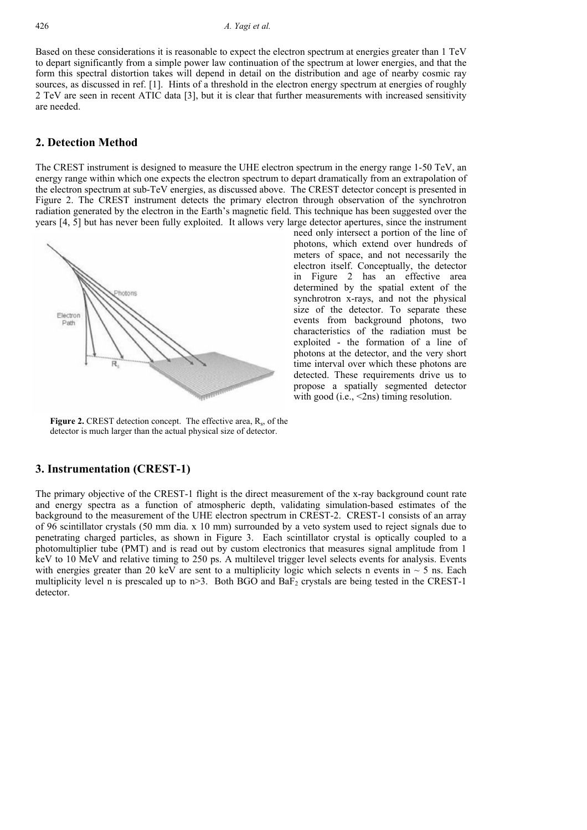#### 426 *A. Yagi et al.*

Based on these considerations it is reasonable to expect the electron spectrum at energies greater than 1 TeV to depart significantly from a simple power law continuation of the spectrum at lower energies, and that the form this spectral distortion takes will depend in detail on the distribution and age of nearby cosmic ray sources, as discussed in ref. [1]. Hints of a threshold in the electron energy spectrum at energies of roughly 2 TeV are seen in recent ATIC data [3], but it is clear that further measurements with increased sensitivity are needed.

### **2. Detection Method**

The CREST instrument is designed to measure the UHE electron spectrum in the energy range 1-50 TeV, an energy range within which one expects the electron spectrum to depart dramatically from an extrapolation of the electron spectrum at sub-TeV energies, as discussed above. The CREST detector concept is presented in Figure 2. The CREST instrument detects the primary electron through observation of the synchrotron radiation generated by the electron in the Earth's magnetic field. This technique has been suggested over the years [4, 5] but has never been fully exploited. It allows very large detector apertures, since the instrument



need only intersect a portion of the line of photons, which extend over hundreds of meters of space, and not necessarily the electron itself. Conceptually, the detector in Figure 2 has an effective area determined by the spatial extent of the synchrotron x-rays, and not the physical size of the detector. To separate these events from background photons, two characteristics of the radiation must be exploited - the formation of a line of photons at the detector, and the very short time interval over which these photons are detected. These requirements drive us to propose a spatially segmented detector with good (i.e., <2ns) timing resolution.

Figure 2. CREST detection concept. The effective area, R<sub>s</sub>, of the detector is much larger than the actual physical size of detector.

#### **3. Instrumentation (CREST-1)**

The primary objective of the CREST-1 flight is the direct measurement of the x-ray background count rate and energy spectra as a function of atmospheric depth, validating simulation-based estimates of the background to the measurement of the UHE electron spectrum in CREST-2. CREST-1 consists of an array of 96 scintillator crystals (50 mm dia. x 10 mm) surrounded by a veto system used to reject signals due to penetrating charged particles, as shown in Figure 3. Each scintillator crystal is optically coupled to a photomultiplier tube (PMT) and is read out by custom electronics that measures signal amplitude from 1 keV to 10 MeV and relative timing to 250 ps. A multilevel trigger level selects events for analysis. Events with energies greater than 20 keV are sent to a multiplicity logic which selects n events in  $\sim$  5 ns. Each multiplicity level n is prescaled up to  $n > 3$ . Both BGO and BaF<sub>2</sub> crystals are being tested in the CREST-1 detector.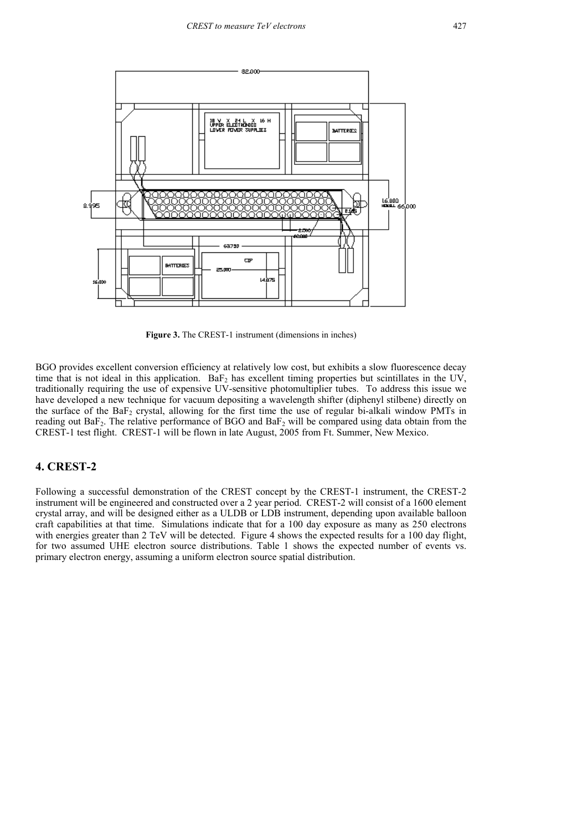

**Figure 3.** The CREST-1 instrument (dimensions in inches)

BGO provides excellent conversion efficiency at relatively low cost, but exhibits a slow fluorescence decay time that is not ideal in this application.  $BaF<sub>2</sub>$  has excellent timing properties but scintillates in the UV, traditionally requiring the use of expensive UV-sensitive photomultiplier tubes. To address this issue we have developed a new technique for vacuum depositing a wavelength shifter (diphenyl stilbene) directly on the surface of the BaF2 crystal, allowing for the first time the use of regular bi-alkali window PMTs in reading out  $BaF_2$ . The relative performance of BGO and  $BaF_2$  will be compared using data obtain from the CREST-1 test flight. CREST-1 will be flown in late August, 2005 from Ft. Summer, New Mexico.

### **4. CREST-2**

Following a successful demonstration of the CREST concept by the CREST-1 instrument, the CREST-2 instrument will be engineered and constructed over a 2 year period. CREST-2 will consist of a 1600 element crystal array, and will be designed either as a ULDB or LDB instrument, depending upon available balloon craft capabilities at that time. Simulations indicate that for a 100 day exposure as many as 250 electrons with energies greater than 2 TeV will be detected. Figure 4 shows the expected results for a 100 day flight, for two assumed UHE electron source distributions. Table 1 shows the expected number of events vs. primary electron energy, assuming a uniform electron source spatial distribution.